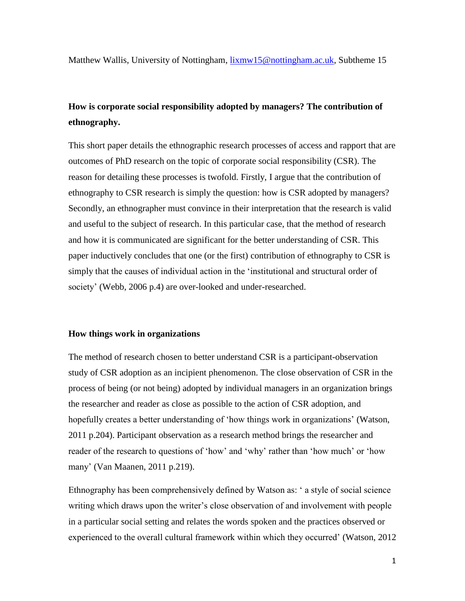Matthew Wallis, University of Nottingham, [lixmw15@nottingham.ac.uk,](mailto:lixmw15@nottingham.ac.uk) Subtheme 15

# **How is corporate social responsibility adopted by managers? The contribution of ethnography.**

This short paper details the ethnographic research processes of access and rapport that are outcomes of PhD research on the topic of corporate social responsibility (CSR). The reason for detailing these processes is twofold. Firstly, I argue that the contribution of ethnography to CSR research is simply the question: how is CSR adopted by managers? Secondly, an ethnographer must convince in their interpretation that the research is valid and useful to the subject of research. In this particular case, that the method of research and how it is communicated are significant for the better understanding of CSR. This paper inductively concludes that one (or the first) contribution of ethnography to CSR is simply that the causes of individual action in the 'institutional and structural order of society' (Webb, 2006 p.4) are over-looked and under-researched.

# **How things work in organizations**

The method of research chosen to better understand CSR is a participant-observation study of CSR adoption as an incipient phenomenon. The close observation of CSR in the process of being (or not being) adopted by individual managers in an organization brings the researcher and reader as close as possible to the action of CSR adoption, and hopefully creates a better understanding of 'how things work in organizations' (Watson, 2011 p.204). Participant observation as a research method brings the researcher and reader of the research to questions of 'how' and 'why' rather than 'how much' or 'how many' (Van Maanen, 2011 p.219).

Ethnography has been comprehensively defined by Watson as: ' a style of social science writing which draws upon the writer's close observation of and involvement with people in a particular social setting and relates the words spoken and the practices observed or experienced to the overall cultural framework within which they occurred' (Watson, 2012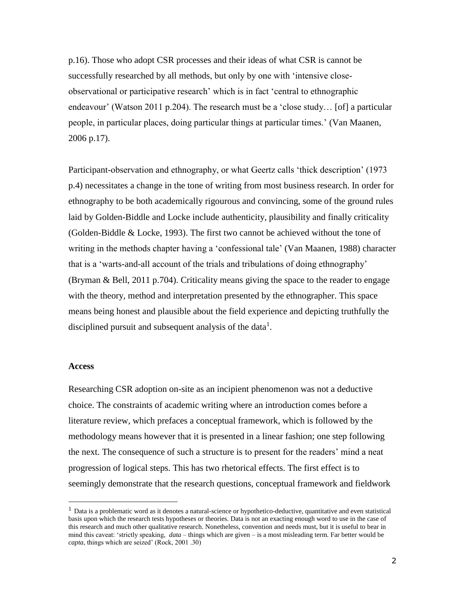p.16). Those who adopt CSR processes and their ideas of what CSR is cannot be successfully researched by all methods, but only by one with 'intensive closeobservational or participative research' which is in fact 'central to ethnographic endeavour' (Watson 2011 p.204). The research must be a 'close study… [of] a particular people, in particular places, doing particular things at particular times.' (Van Maanen, 2006 p.17).

Participant-observation and ethnography, or what Geertz calls 'thick description' (1973 p.4) necessitates a change in the tone of writing from most business research. In order for ethnography to be both academically rigourous and convincing, some of the ground rules laid by Golden-Biddle and Locke include authenticity, plausibility and finally criticality (Golden-Biddle & Locke, 1993). The first two cannot be achieved without the tone of writing in the methods chapter having a 'confessional tale' (Van Maanen, 1988) character that is a 'warts-and-all account of the trials and tribulations of doing ethnography' (Bryman & Bell, 2011 p.704). Criticality means giving the space to the reader to engage with the theory, method and interpretation presented by the ethnographer. This space means being honest and plausible about the field experience and depicting truthfully the disciplined pursuit and subsequent analysis of the data<sup>1</sup>.

#### **Access**

1

Researching CSR adoption on-site as an incipient phenomenon was not a deductive choice. The constraints of academic writing where an introduction comes before a literature review, which prefaces a conceptual framework, which is followed by the methodology means however that it is presented in a linear fashion; one step following the next. The consequence of such a structure is to present for the readers' mind a neat progression of logical steps. This has two rhetorical effects. The first effect is to seemingly demonstrate that the research questions, conceptual framework and fieldwork

<sup>&</sup>lt;sup>1</sup> Data is a problematic word as it denotes a natural-science or hypothetico-deductive, quantitative and even statistical basis upon which the research tests hypotheses or theories. Data is not an exacting enough word to use in the case of this research and much other qualitative research. Nonetheless, convention and needs must, but it is useful to bear in mind this caveat: 'strictly speaking, *data –* things which are given – is a most misleading term. Far better would be *capta*, things which are seized' (Rock, 2001 .30)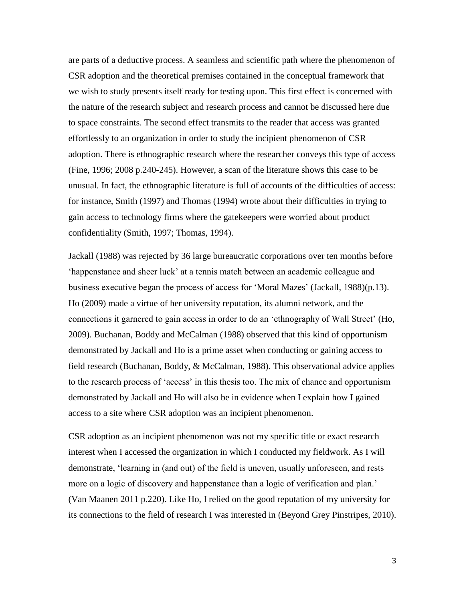are parts of a deductive process. A seamless and scientific path where the phenomenon of CSR adoption and the theoretical premises contained in the conceptual framework that we wish to study presents itself ready for testing upon. This first effect is concerned with the nature of the research subject and research process and cannot be discussed here due to space constraints. The second effect transmits to the reader that access was granted effortlessly to an organization in order to study the incipient phenomenon of CSR adoption. There is ethnographic research where the researcher conveys this type of access (Fine, 1996; 2008 p.240-245). However, a scan of the literature shows this case to be unusual. In fact, the ethnographic literature is full of accounts of the difficulties of access: for instance, Smith (1997) and Thomas (1994) wrote about their difficulties in trying to gain access to technology firms where the gatekeepers were worried about product confidentiality (Smith, 1997; Thomas, 1994).

Jackall (1988) was rejected by 36 large bureaucratic corporations over ten months before 'happenstance and sheer luck' at a tennis match between an academic colleague and business executive began the process of access for 'Moral Mazes' (Jackall, 1988)(p.13). Ho (2009) made a virtue of her university reputation, its alumni network, and the connections it garnered to gain access in order to do an 'ethnography of Wall Street' (Ho, 2009). Buchanan, Boddy and McCalman (1988) observed that this kind of opportunism demonstrated by Jackall and Ho is a prime asset when conducting or gaining access to field research (Buchanan, Boddy, & McCalman, 1988). This observational advice applies to the research process of 'access' in this thesis too. The mix of chance and opportunism demonstrated by Jackall and Ho will also be in evidence when I explain how I gained access to a site where CSR adoption was an incipient phenomenon.

CSR adoption as an incipient phenomenon was not my specific title or exact research interest when I accessed the organization in which I conducted my fieldwork. As I will demonstrate, 'learning in (and out) of the field is uneven, usually unforeseen, and rests more on a logic of discovery and happenstance than a logic of verification and plan.' (Van Maanen 2011 p.220). Like Ho, I relied on the good reputation of my university for its connections to the field of research I was interested in (Beyond Grey Pinstripes, 2010).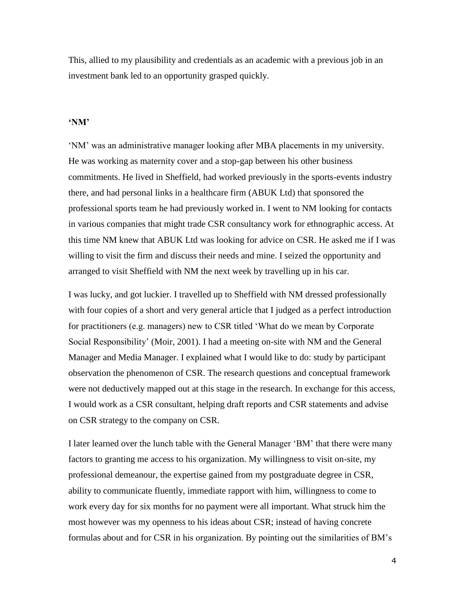This, allied to my plausibility and credentials as an academic with a previous job in an investment bank led to an opportunity grasped quickly.

# **'NM'**

'NM' was an administrative manager looking after MBA placements in my university. He was working as maternity cover and a stop-gap between his other business commitments. He lived in Sheffield, had worked previously in the sports-events industry there, and had personal links in a healthcare firm (ABUK Ltd) that sponsored the professional sports team he had previously worked in. I went to NM looking for contacts in various companies that might trade CSR consultancy work for ethnographic access. At this time NM knew that ABUK Ltd was looking for advice on CSR. He asked me if I was willing to visit the firm and discuss their needs and mine. I seized the opportunity and arranged to visit Sheffield with NM the next week by travelling up in his car.

I was lucky, and got luckier. I travelled up to Sheffield with NM dressed professionally with four copies of a short and very general article that I judged as a perfect introduction for practitioners (e.g. managers) new to CSR titled 'What do we mean by Corporate Social Responsibility' (Moir, 2001). I had a meeting on-site with NM and the General Manager and Media Manager. I explained what I would like to do: study by participant observation the phenomenon of CSR. The research questions and conceptual framework were not deductively mapped out at this stage in the research. In exchange for this access, I would work as a CSR consultant, helping draft reports and CSR statements and advise on CSR strategy to the company on CSR.

I later learned over the lunch table with the General Manager 'BM' that there were many factors to granting me access to his organization. My willingness to visit on-site, my professional demeanour, the expertise gained from my postgraduate degree in CSR, ability to communicate fluently, immediate rapport with him, willingness to come to work every day for six months for no payment were all important. What struck him the most however was my openness to his ideas about CSR; instead of having concrete formulas about and for CSR in his organization. By pointing out the similarities of BM's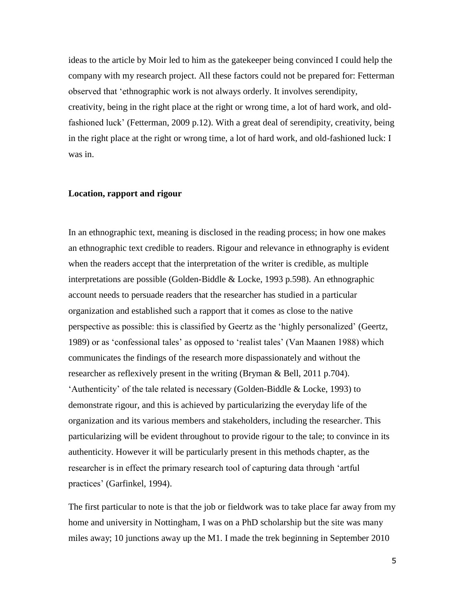ideas to the article by Moir led to him as the gatekeeper being convinced I could help the company with my research project. All these factors could not be prepared for: Fetterman observed that 'ethnographic work is not always orderly. It involves serendipity, creativity, being in the right place at the right or wrong time, a lot of hard work, and oldfashioned luck' (Fetterman, 2009 p.12). With a great deal of serendipity, creativity, being in the right place at the right or wrong time, a lot of hard work, and old-fashioned luck: I was in.

# **Location, rapport and rigour**

In an ethnographic text, meaning is disclosed in the reading process; in how one makes an ethnographic text credible to readers. Rigour and relevance in ethnography is evident when the readers accept that the interpretation of the writer is credible, as multiple interpretations are possible (Golden-Biddle & Locke, 1993 p.598). An ethnographic account needs to persuade readers that the researcher has studied in a particular organization and established such a rapport that it comes as close to the native perspective as possible: this is classified by Geertz as the 'highly personalized' (Geertz, 1989) or as 'confessional tales' as opposed to 'realist tales' (Van Maanen 1988) which communicates the findings of the research more dispassionately and without the researcher as reflexively present in the writing (Bryman & Bell, 2011 p.704). 'Authenticity' of the tale related is necessary (Golden-Biddle & Locke, 1993) to demonstrate rigour, and this is achieved by particularizing the everyday life of the organization and its various members and stakeholders, including the researcher. This particularizing will be evident throughout to provide rigour to the tale; to convince in its authenticity. However it will be particularly present in this methods chapter, as the researcher is in effect the primary research tool of capturing data through 'artful practices' (Garfinkel, 1994).

The first particular to note is that the job or fieldwork was to take place far away from my home and university in Nottingham, I was on a PhD scholarship but the site was many miles away; 10 junctions away up the M1. I made the trek beginning in September 2010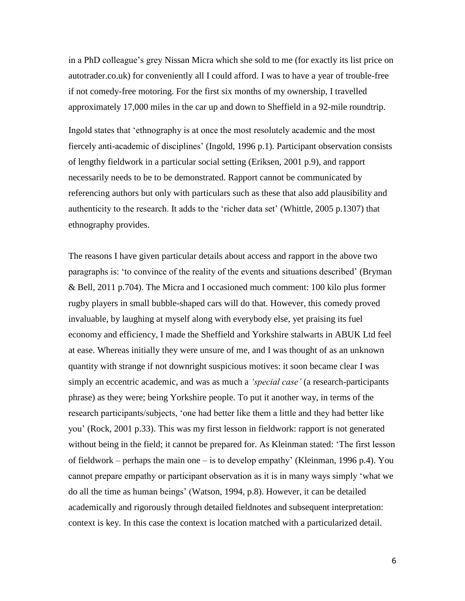in a PhD colleague's grey Nissan Micra which she sold to me (for exactly its list price on autotrader.co.uk) for conveniently all I could afford. I was to have a year of trouble-free if not comedy-free motoring. For the first six months of my ownership, I travelled approximately 17,000 miles in the car up and down to Sheffield in a 92-mile roundtrip.

Ingold states that 'ethnography is at once the most resolutely academic and the most fiercely anti-academic of disciplines' (Ingold, 1996 p.1). Participant observation consists of lengthy fieldwork in a particular social setting (Eriksen, 2001 p.9), and rapport necessarily needs to be to be demonstrated. Rapport cannot be communicated by referencing authors but only with particulars such as these that also add plausibility and authenticity to the research. It adds to the 'richer data set' (Whittle, 2005 p.1307) that ethnography provides.

The reasons I have given particular details about access and rapport in the above two paragraphs is: 'to convince of the reality of the events and situations described' (Bryman & Bell, 2011 p.704). The Micra and I occasioned much comment: 100 kilo plus former rugby players in small bubble-shaped cars will do that. However, this comedy proved invaluable, by laughing at myself along with everybody else, yet praising its fuel economy and efficiency, I made the Sheffield and Yorkshire stalwarts in ABUK Ltd feel at ease. Whereas initially they were unsure of me, and I was thought of as an unknown quantity with strange if not downright suspicious motives: it soon became clear I was simply an eccentric academic, and was as much a *'special case'* (a research-participants phrase) as they were; being Yorkshire people. To put it another way, in terms of the research participants/subjects, 'one had better like them a little and they had better like you' (Rock, 2001 p.33). This was my first lesson in fieldwork: rapport is not generated without being in the field; it cannot be prepared for. As Kleinman stated: 'The first lesson of fieldwork – perhaps the main one – is to develop empathy' (Kleinman, 1996 p.4). You cannot prepare empathy or participant observation as it is in many ways simply 'what we do all the time as human beings' (Watson, 1994, p.8). However, it can be detailed academically and rigorously through detailed fieldnotes and subsequent interpretation: context is key. In this case the context is location matched with a particularized detail.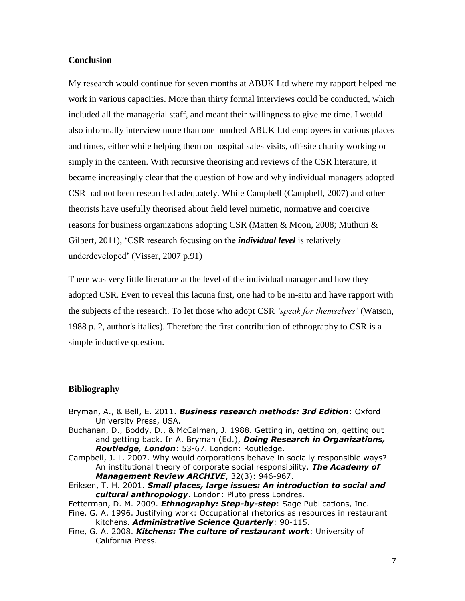# **Conclusion**

My research would continue for seven months at ABUK Ltd where my rapport helped me work in various capacities. More than thirty formal interviews could be conducted, which included all the managerial staff, and meant their willingness to give me time. I would also informally interview more than one hundred ABUK Ltd employees in various places and times, either while helping them on hospital sales visits, off-site charity working or simply in the canteen. With recursive theorising and reviews of the CSR literature, it became increasingly clear that the question of how and why individual managers adopted CSR had not been researched adequately. While Campbell (Campbell, 2007) and other theorists have usefully theorised about field level mimetic, normative and coercive reasons for business organizations adopting CSR (Matten & Moon, 2008; Muthuri & Gilbert, 2011), 'CSR research focusing on the *individual level* is relatively underdeveloped' (Visser, 2007 p.91)

There was very little literature at the level of the individual manager and how they adopted CSR. Even to reveal this lacuna first, one had to be in-situ and have rapport with the subjects of the research. To let those who adopt CSR *'speak for themselves'* (Watson, 1988 p. 2, author's italics). Therefore the first contribution of ethnography to CSR is a simple inductive question.

# **Bibliography**

- Bryman, A., & Bell, E. 2011. *Business research methods: 3rd Edition*: Oxford University Press, USA.
- Buchanan, D., Boddy, D., & McCalman, J. 1988. Getting in, getting on, getting out and getting back. In A. Bryman (Ed.), *Doing Research in Organizations, Routledge, London*: 53-67. London: Routledge.
- Campbell, J. L. 2007. Why would corporations behave in socially responsible ways? An institutional theory of corporate social responsibility. *The Academy of Management Review ARCHIVE*, 32(3): 946-967.
- Eriksen, T. H. 2001. *Small places, large issues: An introduction to social and cultural anthropology*. London: Pluto press Londres.

Fetterman, D. M. 2009. *Ethnography: Step-by-step*: Sage Publications, Inc.

Fine, G. A. 1996. Justifying work: Occupational rhetorics as resources in restaurant kitchens. *Administrative Science Quarterly*: 90-115.

Fine, G. A. 2008. *Kitchens: The culture of restaurant work*: University of California Press.